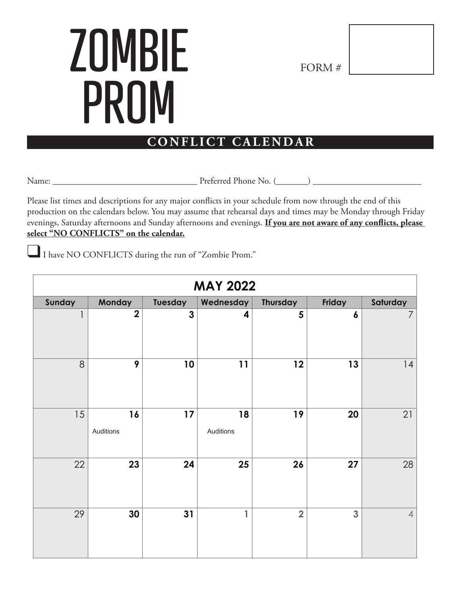## **ZOMBIE** PROM

FORM #

## **CONFLICT CALENDAR**

Name: \_\_\_\_\_\_\_\_\_\_\_\_\_\_\_\_\_\_\_\_\_\_\_\_\_\_\_\_\_\_\_\_ Preferred Phone No. (\_\_\_\_\_\_\_) \_\_\_\_\_\_\_\_\_\_\_\_\_\_\_\_\_\_\_\_\_\_\_\_

Please list times and descriptions for any major conflicts in your schedule from now through the end of this production on the calendars below. You may assume that rehearsal days and times may be Monday through Friday evenings, Saturday afternoons and Sunday afternoons and evenings. **If you are not aware of any conflicts, please select "NO CONFLICTS" on the calendar.**

I have NO CONFLICTS during the run of "Zombie Prom."

| <b>MAY 2022</b>         |                 |              |                 |                |                  |                |  |
|-------------------------|-----------------|--------------|-----------------|----------------|------------------|----------------|--|
| Sunday                  | Monday          | Tuesday      | Wednesday       | Thursday       | Friday           | Saturday       |  |
| $\overline{\mathsf{I}}$ | $\overline{2}$  | $\mathbf{3}$ | 4               | 5              | $\boldsymbol{6}$ | $\overline{7}$ |  |
| 8                       | 9               | 10           | 11              | 12             | 13               | 14             |  |
| 15                      | 16<br>Auditions | 17           | 18<br>Auditions | 19             | 20               | 21             |  |
| 22                      | 23              | 24           | 25              | 26             | 27               | 28             |  |
| 29                      | 30              | 31           | 1               | $\overline{2}$ | 3                | $\overline{4}$ |  |